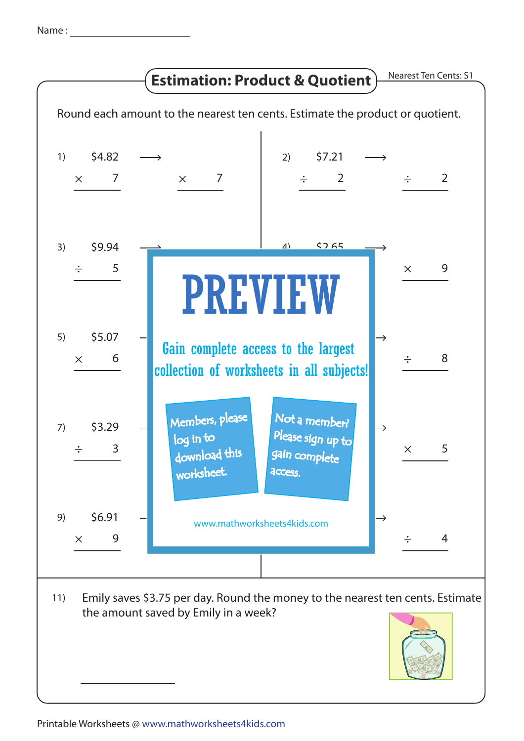